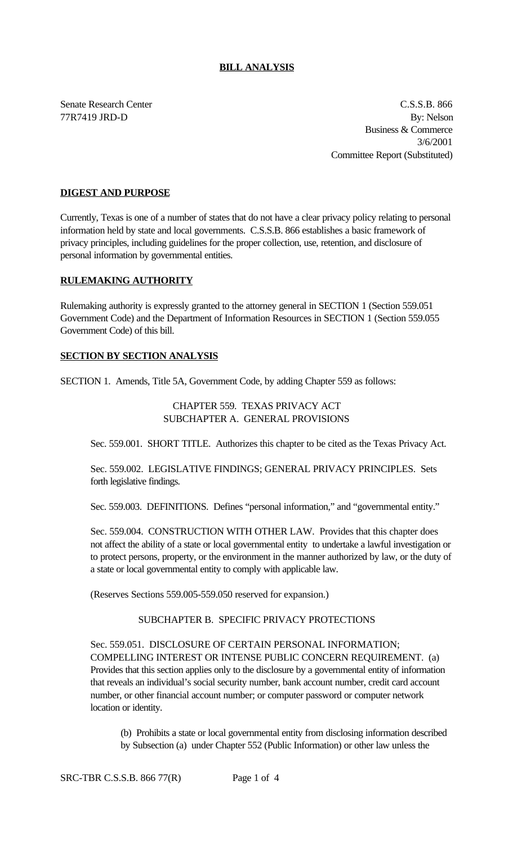#### **BILL ANALYSIS**

Senate Research Center C.S.S.B. 866 77R7419 JRD-D By: Nelson Business & Commerce 3/6/2001 Committee Report (Substituted)

## **DIGEST AND PURPOSE**

Currently, Texas is one of a number of states that do not have a clear privacy policy relating to personal information held by state and local governments. C.S.S.B. 866 establishes a basic framework of privacy principles, including guidelines for the proper collection, use, retention, and disclosure of personal information by governmental entities.

#### **RULEMAKING AUTHORITY**

Rulemaking authority is expressly granted to the attorney general in SECTION 1 (Section 559.051 Government Code) and the Department of Information Resources in SECTION 1 (Section 559.055 Government Code) of this bill.

# **SECTION BY SECTION ANALYSIS**

SECTION 1. Amends, Title 5A, Government Code, by adding Chapter 559 as follows:

## CHAPTER 559. TEXAS PRIVACY ACT SUBCHAPTER A. GENERAL PROVISIONS

Sec. 559.001. SHORT TITLE. Authorizes this chapter to be cited as the Texas Privacy Act.

Sec. 559.002. LEGISLATIVE FINDINGS; GENERAL PRIVACY PRINCIPLES. Sets forth legislative findings.

Sec. 559.003. DEFINITIONS. Defines "personal information," and "governmental entity."

Sec. 559.004. CONSTRUCTION WITH OTHER LAW. Provides that this chapter does not affect the ability of a state or local governmental entity to undertake a lawful investigation or to protect persons, property, or the environment in the manner authorized by law, or the duty of a state or local governmental entity to comply with applicable law.

(Reserves Sections 559.005-559.050 reserved for expansion.)

## SUBCHAPTER B. SPECIFIC PRIVACY PROTECTIONS

Sec. 559.051. DISCLOSURE OF CERTAIN PERSONAL INFORMATION; COMPELLING INTEREST OR INTENSE PUBLIC CONCERN REQUIREMENT. (a) Provides that this section applies only to the disclosure by a governmental entity of information that reveals an individual's social security number, bank account number, credit card account number, or other financial account number; or computer password or computer network location or identity.

(b) Prohibits a state or local governmental entity from disclosing information described by Subsection (a) under Chapter 552 (Public Information) or other law unless the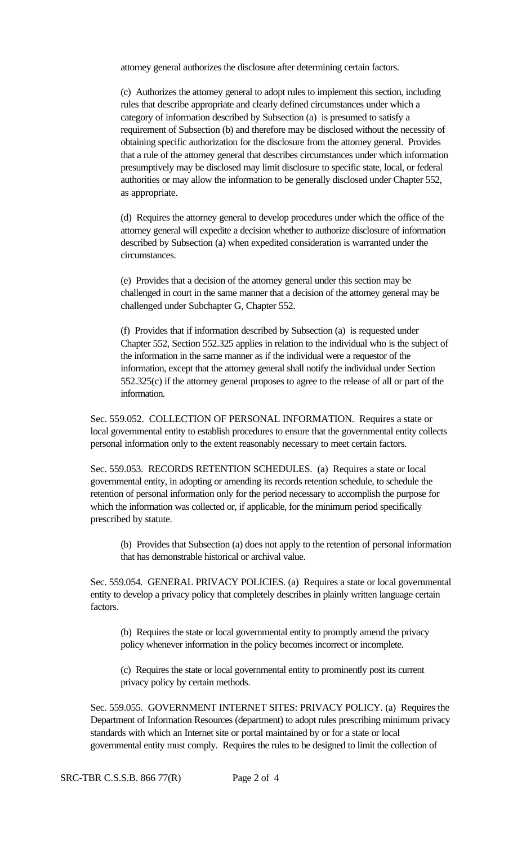attorney general authorizes the disclosure after determining certain factors.

(c) Authorizes the attorney general to adopt rules to implement this section, including rules that describe appropriate and clearly defined circumstances under which a category of information described by Subsection (a) is presumed to satisfy a requirement of Subsection (b) and therefore may be disclosed without the necessity of obtaining specific authorization for the disclosure from the attorney general. Provides that a rule of the attorney general that describes circumstances under which information presumptively may be disclosed may limit disclosure to specific state, local, or federal authorities or may allow the information to be generally disclosed under Chapter 552, as appropriate.

(d) Requires the attorney general to develop procedures under which the office of the attorney general will expedite a decision whether to authorize disclosure of information described by Subsection (a) when expedited consideration is warranted under the circumstances.

(e) Provides that a decision of the attorney general under this section may be challenged in court in the same manner that a decision of the attorney general may be challenged under Subchapter G, Chapter 552.

(f) Provides that if information described by Subsection (a) is requested under Chapter 552, Section 552.325 applies in relation to the individual who is the subject of the information in the same manner as if the individual were a requestor of the information, except that the attorney general shall notify the individual under Section 552.325(c) if the attorney general proposes to agree to the release of all or part of the information.

Sec. 559.052. COLLECTION OF PERSONAL INFORMATION. Requires a state or local governmental entity to establish procedures to ensure that the governmental entity collects personal information only to the extent reasonably necessary to meet certain factors.

Sec. 559.053. RECORDS RETENTION SCHEDULES. (a) Requires a state or local governmental entity, in adopting or amending its records retention schedule, to schedule the retention of personal information only for the period necessary to accomplish the purpose for which the information was collected or, if applicable, for the minimum period specifically prescribed by statute.

(b) Provides that Subsection (a) does not apply to the retention of personal information that has demonstrable historical or archival value.

Sec. 559.054. GENERAL PRIVACY POLICIES. (a) Requires a state or local governmental entity to develop a privacy policy that completely describes in plainly written language certain factors.

(b) Requires the state or local governmental entity to promptly amend the privacy policy whenever information in the policy becomes incorrect or incomplete.

(c) Requires the state or local governmental entity to prominently post its current privacy policy by certain methods.

Sec. 559.055. GOVERNMENT INTERNET SITES: PRIVACY POLICY. (a) Requires the Department of Information Resources (department) to adopt rules prescribing minimum privacy standards with which an Internet site or portal maintained by or for a state or local governmental entity must comply. Requires the rules to be designed to limit the collection of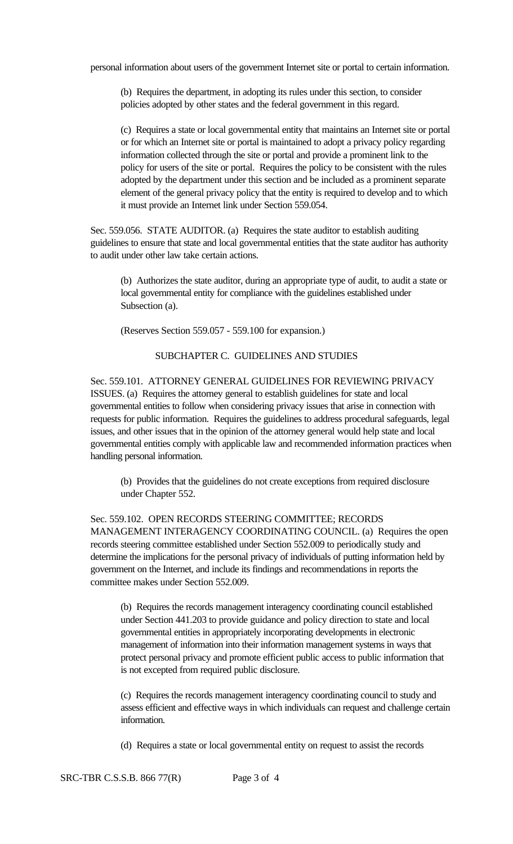personal information about users of the government Internet site or portal to certain information.

(b) Requires the department, in adopting its rules under this section, to consider policies adopted by other states and the federal government in this regard.

(c) Requires a state or local governmental entity that maintains an Internet site or portal or for which an Internet site or portal is maintained to adopt a privacy policy regarding information collected through the site or portal and provide a prominent link to the policy for users of the site or portal. Requires the policy to be consistent with the rules adopted by the department under this section and be included as a prominent separate element of the general privacy policy that the entity is required to develop and to which it must provide an Internet link under Section 559.054.

Sec. 559.056. STATE AUDITOR. (a) Requires the state auditor to establish auditing guidelines to ensure that state and local governmental entities that the state auditor has authority to audit under other law take certain actions.

(b) Authorizes the state auditor, during an appropriate type of audit, to audit a state or local governmental entity for compliance with the guidelines established under Subsection (a).

(Reserves Section 559.057 - 559.100 for expansion.)

# SUBCHAPTER C. GUIDELINES AND STUDIES

Sec. 559.101. ATTORNEY GENERAL GUIDELINES FOR REVIEWING PRIVACY ISSUES. (a) Requires the attorney general to establish guidelines for state and local governmental entities to follow when considering privacy issues that arise in connection with requests for public information. Requires the guidelines to address procedural safeguards, legal issues, and other issues that in the opinion of the attorney general would help state and local governmental entities comply with applicable law and recommended information practices when handling personal information.

(b) Provides that the guidelines do not create exceptions from required disclosure under Chapter 552.

Sec. 559.102. OPEN RECORDS STEERING COMMITTEE; RECORDS MANAGEMENT INTERAGENCY COORDINATING COUNCIL. (a) Requires the open records steering committee established under Section 552.009 to periodically study and determine the implications for the personal privacy of individuals of putting information held by government on the Internet, and include its findings and recommendations in reports the committee makes under Section 552.009.

(b) Requires the records management interagency coordinating council established under Section 441.203 to provide guidance and policy direction to state and local governmental entities in appropriately incorporating developments in electronic management of information into their information management systems in ways that protect personal privacy and promote efficient public access to public information that is not excepted from required public disclosure.

(c) Requires the records management interagency coordinating council to study and assess efficient and effective ways in which individuals can request and challenge certain information.

(d) Requires a state or local governmental entity on request to assist the records